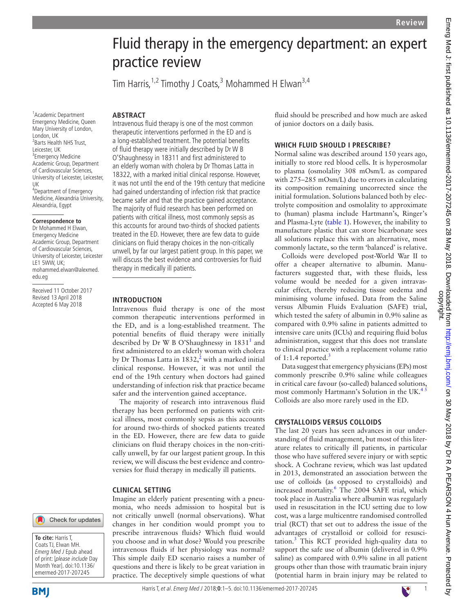# Fluid therapy in the emergency department: an expert practice review

Tim Harris, <sup>1,2</sup> Timothy J Coats, <sup>3</sup> Mohammed H Elwan<sup>3,4</sup>

Intravenous fluid therapy is one of the most common therapeutic interventions performed in the ED and is a long-established treatment. The potential benefits of fluid therapy were initially described by Dr W B O'Shaughnessy in 18311 and first administered to an elderly woman with cholera by Dr Thomas Latta in 18322, with a marked initial clinical response. However, it was not until the end of the 19th century that medicine had gained understanding of infection risk that practice became safer and that the practice gained acceptance. The majority of fluid research has been performed on patients with critical illness, most commonly sepsis as this accounts for around two-thirds of shocked patients treated in the ED. However, there are few data to guide clinicians on fluid therapy choices in the non-critically unwell, by far our largest patient group. In this paper, we will discuss the best evidence and controversies for fluid

#### 1 Academic Department Emergency Medicine, Queen Mary University of London, London, UK <sup>2</sup> Barts Health NHS Trust, Leicester, UK <sup>3</sup> Emergency Medicine Academic Group, Department of Cardiovascular Sciences, University of Leicester, Leicester,

**ARSTRACT** 

therapy in medically ill patients.

Intravenous fluid therapy is one of the most common therapeutic interventions performed in the ED, and is a long-established treatment. The potential benefits of fluid therapy were initially described by Dr W B O'Shaughnessy in [1](#page-3-0)831<sup>1</sup> and first administered to an elderly woman with cholera by Dr Thomas Latta in 183[2](#page-3-1), $^2$  with a marked initial clinical response. However, it was not until the end of the 19th century when doctors had gained understanding of infection risk that practice became safer and the intervention gained acceptance. The majority of research into intravenous fluid therapy has been performed on patients with critical illness, most commonly sepsis as this accounts for around two-thirds of shocked patients treated in the ED. However, there are few data to guide clinicians on fluid therapy choices in the non-critically unwell, by far our largest patient group. In this review, we will discuss the best evidence and controversies for fluid therapy in medically ill patients.

Imagine an elderly patient presenting with a pneumonia, who needs admission to hospital but is not critically unwell (normal observations). What changes in her condition would prompt you to prescribe intravenous fluids? Which fluid would you choose and in what dose? Would you prescribe intravenous fluids if her physiology was normal? This simple daily ED scenario raises a number of questions and there is likely to be great variation in practice. The deceptively simple questions of what

**Introduction**

**Clinical setting**

UK 4 Department of Emergency Medicine, Alexandria University, Alexandria, Egypt

#### **Correspondence to**

Dr Mohammed H Elwan, Emergency Medicine Academic Group, Department of Cardiovascular Sciences, University of Leicester, Leicester LE1 5WW, UK; mohammed.elwan@alexmed. edu.eg

Received 11 October 2017 Revised 13 April 2018 Accepted 6 May 2018



**To cite:** Harris T, Coats TJ, Elwan MH. Emerg Med J Epub ahead of print: [please include Day Month Year]. doi:10.1136/ emermed-2017-207245

HarrisT, et al. Emerg Med J 2018;**0**:1–5. doi:10.1136/emermed-2017-207245

fluid should be prescribed and how much are asked of junior doctors on a daily basis.

# **Which fluid should I prescribe?**

Normal saline was described around 150 years ago, initially to store red blood cells. It is hyperosmolar to plasma (osmolality 308 mOsm/L as compared with 275–285 mOsm/L) due to errors in calculating its composition remaining uncorrected since the initial formulation. Solutions balanced both by electrolyte composition and osmolality to approximate to (human) plasma include Hartmann's, Ringer's and Plasma-Lyte ([table](#page-1-0) 1). However, the inability to manufacture plastic that can store bicarbonate sees all solutions replace this with an alternative, most commonly lactate, so the term 'balanced' is relative.

Colloids were developed post-World War II to offer a cheaper alternative to albumin. Manufacturers suggested that, with these fluids, less volume would be needed for a given intravascular effect, thereby reducing tissue oedema and minimising volume infused. Data from the Saline versus Albumin Fluids Evaluation (SAFE) trial, which tested the safety of albumin in 0.9% saline as compared with 0.9% saline in patients admitted to intensive care units (ICUs) and requiring fluid bolus administration, suggest that this does not translate to clinical practice with a replacement volume ratio of 1:1.4 reported. $3$ 

Data suggest that emergency physicians (EPs) most commonly prescribe 0.9% saline while colleagues in critical care favour (so-called) balanced solutions, most commonly Hartmann's Solution in the UK. $45$ Colloids are also more rarely used in the ED.

# **Crystalloids versus colloids**

The last 20 years has seen advances in our understanding of fluid management, but most of this literature relates to critically ill patients, in particular those who have suffered severe injury or with septic shock. A Cochrane review, which was last updated in 2013, demonstrated an association between the use of colloids (as opposed to crystalloids) and increased mortality.<sup>6</sup> The 2004 SAFE trial, which took place in Australia where albumin was regularly used in resuscitation in the ICU setting due to low cost, was a large multicentre randomised controlled trial (RCT) that set out to address the issue of the advantages of crystalloid or colloid for resusci-tation.<sup>[3](#page-3-2)</sup> This RCT provided high-quality data to support the safe use of albumin (delivered in 0.9% saline) as compared with 0.9% saline in all patient groups other than those with traumatic brain injury (potential harm in brain injury may be related to



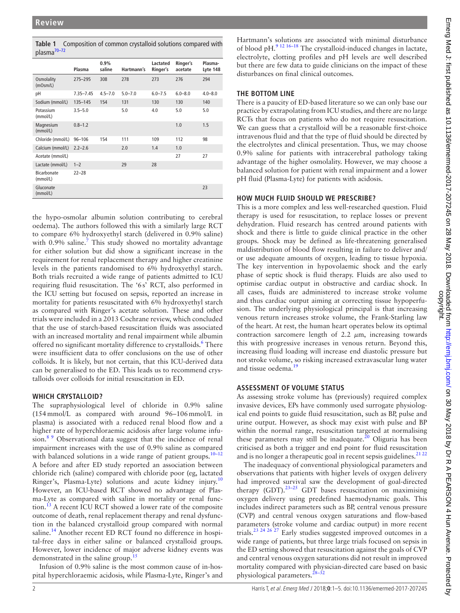<span id="page-1-0"></span>**Table 1** Composition of common crystalloid solutions compared with plasm[a70–72](#page-4-1)

| P.881.08                |               |                |             |                      |                     |                     |
|-------------------------|---------------|----------------|-------------|----------------------|---------------------|---------------------|
|                         | Plasma        | 0.9%<br>saline | Hartmann's  | Lactated<br>Ringer's | Ringer's<br>acetate | Plasma-<br>Lyte 148 |
| Osmolality<br>(mOsm/L)  | 275-295       | 308            | 278         | 273                  | 276                 | 294                 |
| pH                      | $7.35 - 7.45$ | $4.5 - 7.0$    | $5.0 - 7.0$ | $6.0 - 7.5$          | $6.0 - 8.0$         | $4.0 - 8.0$         |
| Sodium (mmol/L)         | $135 - 145$   | 154            | 131         | 130                  | 130                 | 140                 |
| Potassium<br>(mmol/L)   | $3.5 - 5.0$   |                | 5.0         | 4.0                  | 5.0                 | 5.0                 |
| Magnesium<br>(mmol/L)   | $0.8 - 1.2$   |                |             |                      | 1.0                 | 1.5                 |
| Chloride (mmol/L)       | $96 - 106$    | 154            | 111         | 109                  | 112                 | 98                  |
| Calcium (mmol/L)        | $2.2 - 2.6$   |                | 2.0         | 1.4                  | 1.0                 |                     |
| Acetate (mmol/L)        |               |                |             |                      | 27                  | 27                  |
| Lactate (mmol/L)        | $1 - 2$       |                | 29          | 28                   |                     |                     |
| Bicarbonate<br>(mmol/L) | $22 - 28$     |                |             |                      |                     |                     |
| Gluconate<br>(mmol/L)   |               |                |             |                      |                     | 23                  |

the hypo-osmolar albumin solution contributing to cerebral oedema). The authors followed this with a similarly large RCT to compare 6% hydroxyethyl starch (delivered in 0.9% saline) with 0.9% saline.<sup>[7](#page-3-5)</sup> This study showed no mortality advantage for either solution but did show a significant increase in the requirement for renal replacement therapy and higher creatinine levels in the patients randomised to 6% hydroxyethyl starch. Both trials recruited a wide range of patients admitted to ICU requiring fluid resuscitation. The '6s' RCT, also performed in the ICU setting but focused on sepsis, reported an increase in mortality for patients resuscitated with 6% hydroxyethyl starch as compared with Ringer's acetate solution. These and other trials were included in a 2013 Cochrane review, which concluded that the use of starch-based resuscitation fluids was associated with an increased mortality and renal impairment while albumin offered no significant mortality difference to crystalloids.<sup>6</sup> There were insufficient data to offer conclusions on the use of other colloids. It is likely, but not certain, that this ICU-derived data can be generalised to the ED. This leads us to recommend crystalloids over colloids for initial resuscitation in ED.

## **Which crystalloid?**

The supraphysiological level of chloride in 0.9% saline (154mmol/L as compared with around 96–106mmol/L in plasma) is associated with a reduced renal blood flow and a higher rate of hyperchloraemic acidosis after large volume infusion. $8<sup>9</sup>$  Observational data suggest that the incidence of renal impairment increases with the use of 0.9% saline as compared with balanced solutions in a wide range of patient groups. $10-12$ A before and after ED study reported an association between chloride rich (saline) compared with chloride poor (eg, lactated Ringer's, Plasma-Lyte) solutions and acute kidney injury.<sup>[10](#page-3-7)</sup> However, an ICU-based RCT showed no advantage of Plasma-Lyte as compared with saline in mortality or renal function.[13](#page-3-8) A recent ICU RCT showed a lower rate of the composite outcome of death, renal replacement therapy and renal dysfunction in the balanced crystalloid group compared with normal saline.<sup>14</sup> Another recent ED RCT found no difference in hospital-free days in either saline or balanced crystalloid groups. However, lower incidence of major adverse kidney events was demonstrated in the saline group.<sup>[15](#page-3-10)</sup>

Infusion of 0.9% saline is the most common cause of in-hospital hyperchloraemic acidosis, while Plasma-Lyte, Ringer's and

# pH fluid (Plasma-Lyte) for patients with acidosis.

disturbances on final clinical outcomes.

**The bottom line**

**How much fluid should we prescribe?** This is a more complex and less well-researched question. Fluid therapy is used for resuscitation, to replace losses or prevent dehydration. Fluid research has centred around patients with shock and there is little to guide clinical practice in the other groups. Shock may be defined as life-threatening generalised maldistribution of blood flow resulting in failure to deliver and/ or use adequate amounts of oxygen, leading to tissue hypoxia. The key intervention in hypovolaemic shock and the early phase of septic shock is fluid therapy. Fluids are also used to optimise cardiac output in obstructive and cardiac shock. In all cases, fluids are administered to increase stroke volume and thus cardiac output aiming at correcting tissue hypoperfusion. The underlying physiological principal is that increasing venous return increases stroke volume, the Frank-Starling law of the heart. At rest, the human heart operates below its optimal contraction sarcomere length of 2.2  $\mu$ m, increasing towards this with progressive increases in venous return. Beyond this, increasing fluid loading will increase end diastolic pressure but not stroke volume, so risking increased extravascular lung water and tissue oedema.<sup>1</sup>

# **Assessment of volume status**

As assessing stroke volume has (previously) required complex invasive devices, EPs have commonly used surrogate physiological end points to guide fluid resuscitation, such as BP, pulse and urine output. However, as shock may exist with pulse and BP within the normal range, resuscitation targeted at normalising these parameters may still be inadequate.<sup>20</sup> Oliguria has been criticised as both a trigger and end point for fluid resuscitation and is no longer a therapeutic goal in recent sepsis guidelines. $2122$ 

The inadequacy of conventional physiological parameters and observations that patients with higher levels of oxygen delivery had improved survival saw the development of goal-directed therapy  $(GDT)$ .<sup>23–25</sup> GDT bases resuscitation on maximising oxygen delivery using predefined haemodynamic goals. This includes indirect parameters such as BP, central venous pressure (CVP) and central venous oxygen saturations and flow-based parameters (stroke volume and cardiac output) in more recent trials[.23 24 26 27](#page-3-15) Early studies suggested improved outcomes in a wide range of patients, but three large trials focused on sepsis in the ED setting showed that resuscitation against the goals of CVP and central venous oxygen saturations did not result in improved mortality compared with physician-directed care based on basic physiological parameters.<sup>28-32</sup>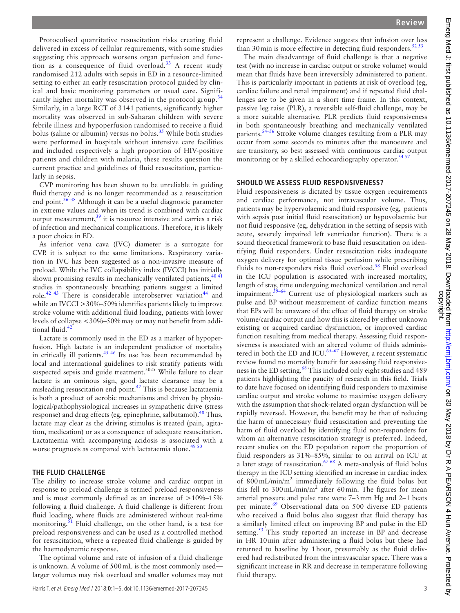Protocolised quantitative resuscitation risks creating fluid delivered in excess of cellular requirements, with some studies suggesting this approach worsens organ perfusion and function as a consequence of fluid overload.<sup>33</sup> A recent study randomised 212 adults with sepsis in ED in a resource-limited setting to either an early resuscitation protocol guided by clinical and basic monitoring parameters or usual care. Signifi-cantly higher mortality was observed in the protocol group.<sup>[34](#page-4-3)</sup> Similarly, in a large RCT of 3141 patients, significantly higher mortality was observed in sub-Saharan children with severe febrile illness and hypoperfusion randomised to receive a fluid bolus (saline or albumin) versus no bolus.<sup>[35](#page-4-4)</sup> While both studies were performed in hospitals without intensive care facilities and included respectively a high proportion of HIV-positive patients and children with malaria, these results question the current practice and guidelines of fluid resuscitation, particularly in sepsis.

CVP monitoring has been shown to be unreliable in guiding fluid therapy and is no longer recommended as a resuscitation end point.  $36-38$  Although it can be a useful diagnostic parameter in extreme values and when its trend is combined with cardiac output measurement,  $39$  it is resource intensive and carries a risk of infection and mechanical complications. Therefore, it is likely a poor choice in ED.

As inferior vena cava (IVC) diameter is a surrogate for CVP, it is subject to the same limitations. Respiratory variation in IVC has been suggested as a non-invasive measure of preload. While the IVC collapsibility index (IVCCI) has initially shown promising results in mechanically ventilated patients,  $404$ studies in spontaneously breathing patients suggest a limited role.<sup>[42 43](#page-4-8)</sup> There is considerable interobserver variation<sup>[44](#page-4-9)</sup> and while an IVCCI >30%–50% identifies patients likely to improve stroke volume with additional fluid loading, patients with lower levels of collapse <30%–50%may or may not benefit from additional fluid.<sup>42</sup>

Lactate is commonly used in the ED as a marker of hypoperfusion. High lactate is an independent predictor of mortality in critically ill patients.<sup>45 46</sup> Its use has been recommended by local and international guidelines to risk stratify patients with suspected sepsis and guide treatment.<sup>5025</sup> While failure to clear lactate is an ominous sign, good lactate clearance may be a misleading resuscitation end point[.47](#page-4-11) This is because lactataemia is both a product of aerobic mechanisms and driven by physiological/pathophysiological increases in sympathetic drive (stress response) and drug effects (eg, epinephrine, salbutamol).<sup>48</sup> Thus, lactate may clear as the driving stimulus is treated (pain, agitation, medication) or as a consequence of adequate resuscitation. Lactataemia with accompanying acidosis is associated with a worse prognosis as compared with lactataemia alone.<sup>[49 50](#page-4-13)</sup>

## **The fluid challenge**

The ability to increase stroke volume and cardiac output in response to preload challenge is termed preload responsiveness and is most commonly defined as an increase of  $>10\%$ –15% following a fluid challenge. A fluid challenge is different from fluid loading, where fluids are administered without real-time monitoring.<sup>51</sup> Fluid challenge, on the other hand, is a test for preload responsiveness and can be used as a controlled method for resuscitation, where a repeated fluid challenge is guided by the haemodynamic response.

The optimal volume and rate of infusion of a fluid challenge is unknown. A volume of 500mL is the most commonly used larger volumes may risk overload and smaller volumes may not

represent a challenge. Evidence suggests that infusion over less than 30 min is more effective in detecting fluid responders.<sup>52 53</sup>

The main disadvantage of fluid challenge is that a negative test (with no increase in cardiac output or stroke volume) would mean that fluids have been irreversibly administered to patient. This is particularly important in patients at risk of overload (eg, cardiac failure and renal impairment) and if repeated fluid challenges are to be given in a short time frame. In this context, passive leg raise (PLR), a reversible self-fluid challenge, may be a more suitable alternative. PLR predicts fluid responsiveness in both spontaneously breathing and mechanically ventilated patients.<sup>54–56</sup> Stroke volume changes resulting from a PLR may occur from some seconds to minutes after the manoeuvre and are transitory, so best assessed with continuous cardiac output monitoring or by a skilled echocardiography operator.<sup>54 57</sup>

## **Should we assess fluid responsiveness?**

Fluid responsiveness is dictated by tissue oxygen requirements and cardiac performance, not intravascular volume. Thus, patients may be hypervolaemic and fluid responsive (eg, patients with sepsis post initial fluid resuscitation) or hypovolaemic but not fluid responsive (eg, dehydration in the setting of sepsis with acute, severely impaired left ventricular function). There is a sound theoretical framework to base fluid resuscitation on identifying fluid responders. Under resuscitation risks inadequate oxygen delivery for optimal tissue perfusion while prescribing fluids to non-responders risks fluid overload.<sup>[58](#page-4-17)</sup> Fluid overload in the ICU population is associated with increased mortality, length of stay, time undergoing mechanical ventilation and renal impairment.<sup>[59–64](#page-4-18)</sup> Current use of physiological markers such as pulse and BP without measurement of cardiac function means that EPs will be unaware of the effect of fluid therapy on stroke volume/cardiac output and how this is altered by either unknown existing or acquired cardiac dysfunction, or improved cardiac function resulting from medical therapy. Assessing fluid responsiveness is associated with an altered volume of fluids administered in both the ED and ICU. $65-67$  However, a recent systematic review found no mortality benefit for assessing fluid responsive-ness in the ED setting.<sup>[68](#page-4-20)</sup> This included only eight studies and 489 patients highlighting the paucity of research in this field. Trials to date have focused on identifying fluid responders to maximise cardiac output and stroke volume to maximise oxygen delivery with the assumption that shock-related organ dysfunction will be rapidly reversed. However, the benefit may be that of reducing the harm of unnecessary fluid resuscitation and preventing the harm of fluid overload by identifying fluid non-responders for whom an alternative resuscitation strategy is preferred. Indeed, recent studies on the ED population report the proportion of fluid responders as 31%–85%, similar to on arrival on ICU at a later stage of resuscitation.<sup>[67 68](#page-4-21)</sup> A meta-analysis of fluid bolus therapy in the ICU setting identified an increase in cardiac index of  $800 \text{ mL/min/m}^2$  immediately following the fluid bolus but this fell to  $300 \text{ mL/min/m}^2$  after 60 min. The figures for mean arterial pressure and pulse rate were 7–3mm Hg and 2–1 beats per minute.<sup>69</sup> Observational data on 500 diverse ED patients who received a fluid bolus also suggest that fluid therapy has a similarly limited effect on improving BP and pulse in the ED setting.<sup>[53](#page-4-23)</sup> This study reported an increase in BP and decrease in HR 10min after administering a fluid bolus but these had returned to baseline by 1hour, presumably as the fluid delivered had redistributed from the intravascular space. There was a significant increase in RR and decrease in temperature following fluid therapy.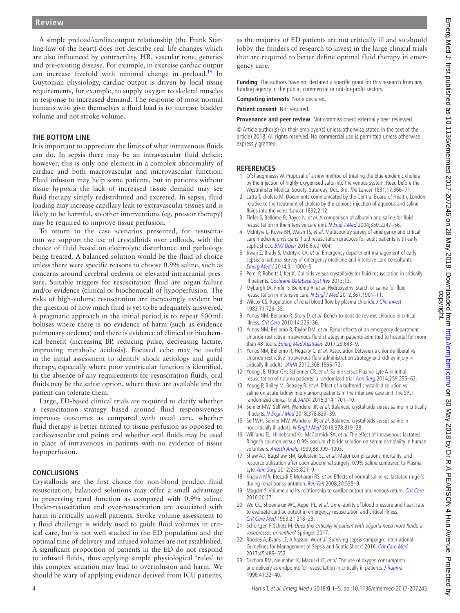A simple preload/cardiacoutput relationship (the Frank Starling law of the heart) does not describe real life changes which are also influenced by contractility, HR, vascular tone, genetics and pre-existing disease. For example, in exercise cardiac output can increase fivefold with minimal change in preload.<sup>[19](#page-3-12)</sup> In Guytonian physiology, cardiac output is driven by local tissue requirements, for example, to supply oxygen to skeletal muscles in response to increased demand. The response of most normal humans who give themselves a fluid load is to increase bladder volume and not stroke volume.

#### **The bottom line**

It is important to appreciate the limits of what intravenous fluids can do. In sepsis there may be an intravascular fluid deficit; however, this is only one element in a complex abnormality of cardiac and both macrovascular and microvascular function. Fluid infusion may help some patients, but in patients without tissue hypoxia the lack of increased tissue demand may see fluid therapy simply redistributed and excreted. In sepsis, fluid loading may increase capillary leak to extravascular tissues and is likely to be harmful, so other interventions (eg, pressor therapy) may be required to improve tissue perfusion.

To return to the case scenarios presented, for resuscitation we support the use of crystalloids over colloids, with the choice of fluid based on electrolyte disturbance and pathology being treated. A balanced solution would be the fluid of choice unless there were specific reasons to choose 0.9% saline, such as concerns around cerebral oedema or elevated intracranial pressure. Suitable triggers for resuscitation fluid are organ failure and/or evidence (clinical or biochemical) of hypoperfusion. The risks of high-volume resuscitation are increasingly evident but the question of how much fluid is yet to be adequately answered. A pragmatic approach in the initial period is to repeat 500mL boluses where there is no evidence of harm (such as evidence pulmonary oedema) and there is evidence of clinical or biochemical benefit (increasing BP, reducing pulse, decreasing lactate, improving metabolic acidosis). Focused echo may be useful in the initial assessment to identify shock aetiology and guide therapy, especially where poor ventricular function is identified. In the absence of any requirements for resuscitation fluids, oral fluids may be the safest option, where these are available and the patient can tolerate them.

Large, ED-based clinical trials are required to clarify whether a resuscitation strategy based around fluid responsiveness improves outcomes as compared with usual care, whether fluid therapy is better titrated to tissue perfusion as opposed to cardiovascular end points and whether oral fluids may be used in place of intravenous in patients with no evidence of tissue hypoperfusion.

#### **Conclusions**

Crystalloids are the first choice for non-blood product fluid resuscitation, balanced solutions may offer a small advantage in preserving renal function as compared with 0.9% saline. Under-resuscitation and over-resuscitation are associated with harm in critically unwell patients. Stroke volume assessment to a fluid challenge is widely used to guide fluid volumes in critical care, but is not well studied in the ED population and the optimal time of delivery and infused volumes are not established. A significant proportion of patients in the ED do not respond to infused fluids, thus applying simple physiological 'rules' to this complex situation may lead to overinfusion and harm. We should be wary of applying evidence derived from ICU patients,

as the majority of ED patients are not critically ill and so should lobby the funders of research to invest in the large clinical trials that are required to better define optimal fluid therapy in emergency care.

**Funding** The authors have not declared a specific grant for this research from any funding agency in the public, commercial or not-for-profit sectors.

**Competing interests** None declared.

**Patient consent** Not required.

**Provenance and peer review** Not commissioned; externally peer reviewed.

© Article author(s) (or their employer(s) unless otherwise stated in the text of the article) 2018. All rights reserved. No commercial use is permitted unless otherwise expressly granted.

#### **References**

- <span id="page-3-0"></span>1 O'Shaughnessy W. Proposal of a new method of treating the blue epidemic cholera by the injection of highly-oxygenised salts into the venous system: Read before the Westminster Medical Society, Saturday, Dec. 3rd. The Lancet 1831;17:366-71.
- <span id="page-3-1"></span>2 Latta T, cholera M. Documents communicated by the Central Board of Health, London, relative to the treatment of cholera by the copious injection of aqueous and saline fluids into the veins. Lancet 1832;2:12.
- <span id="page-3-2"></span>3 Finfer S, Bellomo R, Boyce N, et al. A comparison of albumin and saline for fluid resuscitation in the intensive care unit. [N Engl J Med](http://dx.doi.org/10.1056/NEJMoa040232) 2004;350:2247–56.
- <span id="page-3-3"></span>4 McIntyre L, Rowe BH, Walsh TS, et al. Multicountry survey of emergency and critical care medicine physicians' fluid resuscitation practices for adult patients with early septic shock. **[BMJ Open](http://dx.doi.org/10.1136/bmjopen-2015-010041) 2016**:6:e010041.
- 5 Jiwaji Z, Brady S, McIntyre LA, et al. Emergency department management of early sepsis: a national survey of emergency medicine and intensive care consultants. [Emerg Med J](http://dx.doi.org/10.1136/emermed-2013-202883) 2014;31:1000–5.
- <span id="page-3-4"></span>6 Perel P, Roberts I, Ker K. Colloids versus crystalloids for fluid resuscitation in critically ill patients. [Cochrane Database Syst Rev](http://dx.doi.org/10.1002/14651858.CD000567.pub6) 2013;13.
- <span id="page-3-5"></span>7 Myburgh JA, Finfer S, Bellomo R, et al. Hydroxyethyl starch or saline for fluid resuscitation in intensive care. [N Engl J Med](http://dx.doi.org/10.1056/NEJMoa1209759) 2012;367:1901-11.
- <span id="page-3-6"></span>8 Wilcox CS. Regulation of renal blood flow by plasma chloride. [J Clin Invest](http://dx.doi.org/10.1172/JCI110820) 1983;71:726–35.
- <span id="page-3-11"></span>9 Yunos NM, Bellomo R, Story D, et al. Bench-to-bedside review: chloride in critical illness. [Crit Care](http://dx.doi.org/10.1186/cc9052) 2010;14:226–36.
- <span id="page-3-7"></span>10 Yunos NM, Bellomo R, Taylor DM, et al. Renal effects of an emergency department chloride-restrictive intravenous fluid strategy in patients admitted to hospital for more than 48 hours. [Emerg Med Australas](http://dx.doi.org/10.1111/1742-6723.12821) 2017;29:643-9.
- 11 Yunos NM, Bellomo R, Hegarty C, et al. Association between a chloride-liberal vs chloride-restrictive intravenous fluid administration strategy and kidney injury in critically ill adults. [JAMA](http://dx.doi.org/10.1001/jama.2012.13356) 2012;308:1566-72.
- 12 Young JB, Utter GH, Schermer CR, et al. Saline versus Plasma-Lyte A in initial resuscitation of trauma patients: a randomized trial. [Ann Surg](http://dx.doi.org/10.1097/SLA.0b013e318295feba) 2014;259:255–62.
- <span id="page-3-8"></span>13 Young P, Bailey M, Beasley R, et al. Effect of a buffered crystalloid solution vs saline on acute kidney injury among patients in the intensive care unit: the SPLIT randomized clinical trial. [JAMA](http://dx.doi.org/10.1001/jama.2015.12334) 2015;314:1701–10.
- <span id="page-3-9"></span>14 Semler MW, Self WH, Wanderer JP, et al. Balanced crystalloids versus saline in critically ill adults. [N Engl J Med](http://dx.doi.org/10.1056/NEJMoa1711584) 2018;378:829–39.
- <span id="page-3-10"></span>15 Self WH, Semler MW, Wanderer JP, et al. Balanced crystalloids versus saline in noncritically ill adults. [N Engl J Med](http://dx.doi.org/10.1056/NEJMoa1711586) 2018;378:819-28.
- 16 Williams EL, Hildebrand KL, McCormick SA, et al. The effect of intravenous lactated Ringer's solution versus 0.9% sodium chloride solution on serum osmolality in human volunteers. [Anesth Analg](http://www.ncbi.nlm.nih.gov/pubmed/10320158) 1999;88:999–1003.
- 17 Shaw AD, Bagshaw SM, Goldstein SL, et al. Major complications, mortality, and resource utilization after open abdominal surgery: 0.9% saline compared to Plasma-Lyte. [Ann Surg](http://dx.doi.org/10.1097/SLA.0b013e31825074f5) 2012;255:821-9.
- 18 Khajavi MR, Etezadi F, Moharari RS, et al. Effects of normal saline vs. lactated ringer's during renal transplantation. [Ren Fail](http://dx.doi.org/10.1080/08860220802064770) 2008;30:535-9.
- <span id="page-3-12"></span>19 Magder S. Volume and its relationship to cardiac output and venous return. [Crit Care](http://dx.doi.org/10.1186/s13054-016-1438-7) 2016;20:271.
- <span id="page-3-13"></span>20 Wo CC, Shoemaker WC, Appel PL, et al. Unreliability of blood pressure and heart rate to evaluate cardiac output in emergency resuscitation and critical illness. [Crit Care Med](http://www.ncbi.nlm.nih.gov/pubmed/8428472) 1993;21:218–23.
- <span id="page-3-14"></span>21 Schortgen F, Schetz M. Does this critically ill patient with oliguria need more fluids, a vasopressor, or neither? Springer, 2017.
- 22 Rhodes A, Evans LE, Alhazzani W, et al. Surviving sepsis campaign: International Guidelines for Management of Sepsis and Septic Shock: 2016. [Crit Care Med](http://dx.doi.org/10.1097/CCM.0000000000002255) 2017;45:486–552.
- <span id="page-3-15"></span>23 Durham RM, Neunaber K, Mazuski JE, et al. The use of oxygen consumption and delivery as endpoints for resuscitation in critically ill patients. *[J Trauma](http://dx.doi.org/10.1097/00005373-199607000-00007)* 1996;41:32–40.